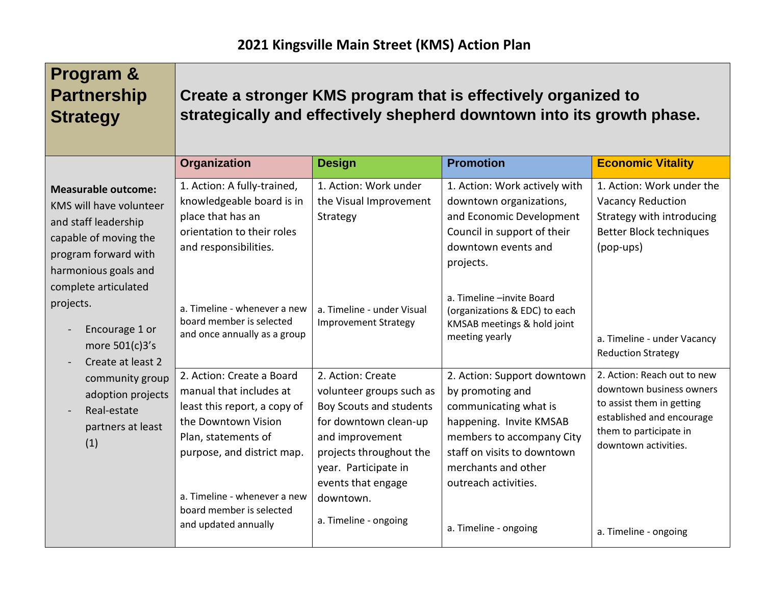| <b>Program &amp;</b><br><b>Partnership</b><br><b>Strategy</b>                                                                                                                  |                                                                                                                                                                                                                                                      |                                                                                                                                                                                                                                     | Create a stronger KMS program that is effectively organized to<br>strategically and effectively shepherd downtown into its growth phase.                                                                       |                                                                                                                                                                     |
|--------------------------------------------------------------------------------------------------------------------------------------------------------------------------------|------------------------------------------------------------------------------------------------------------------------------------------------------------------------------------------------------------------------------------------------------|-------------------------------------------------------------------------------------------------------------------------------------------------------------------------------------------------------------------------------------|----------------------------------------------------------------------------------------------------------------------------------------------------------------------------------------------------------------|---------------------------------------------------------------------------------------------------------------------------------------------------------------------|
|                                                                                                                                                                                | Organization                                                                                                                                                                                                                                         | <b>Design</b>                                                                                                                                                                                                                       | <b>Promotion</b>                                                                                                                                                                                               | <b>Economic Vitality</b>                                                                                                                                            |
| <b>Measurable outcome:</b><br>KMS will have volunteer<br>and staff leadership<br>capable of moving the<br>program forward with<br>harmonious goals and<br>complete articulated | 1. Action: A fully-trained,<br>knowledgeable board is in<br>place that has an<br>orientation to their roles<br>and responsibilities.                                                                                                                 | 1. Action: Work under<br>the Visual Improvement<br>Strategy                                                                                                                                                                         | 1. Action: Work actively with<br>downtown organizations,<br>and Economic Development<br>Council in support of their<br>downtown events and<br>projects.                                                        | 1. Action: Work under the<br><b>Vacancy Reduction</b><br>Strategy with introducing<br><b>Better Block techniques</b><br>(pop-ups)                                   |
| projects.<br>Encourage 1 or<br>more 501(c)3's<br>Create at least 2                                                                                                             | a. Timeline - whenever a new<br>board member is selected<br>and once annually as a group                                                                                                                                                             | a. Timeline - under Visual<br><b>Improvement Strategy</b>                                                                                                                                                                           | a. Timeline -invite Board<br>(organizations & EDC) to each<br>KMSAB meetings & hold joint<br>meeting yearly                                                                                                    | a. Timeline - under Vacancy<br><b>Reduction Strategy</b>                                                                                                            |
| community group<br>adoption projects<br>Real-estate<br>partners at least<br>(1)                                                                                                | 2. Action: Create a Board<br>manual that includes at<br>least this report, a copy of<br>the Downtown Vision<br>Plan, statements of<br>purpose, and district map.<br>a. Timeline - whenever a new<br>board member is selected<br>and updated annually | 2. Action: Create<br>volunteer groups such as<br>Boy Scouts and students<br>for downtown clean-up<br>and improvement<br>projects throughout the<br>year. Participate in<br>events that engage<br>downtown.<br>a. Timeline - ongoing | 2. Action: Support downtown<br>by promoting and<br>communicating what is<br>happening. Invite KMSAB<br>members to accompany City<br>staff on visits to downtown<br>merchants and other<br>outreach activities. | 2. Action: Reach out to new<br>downtown business owners<br>to assist them in getting<br>established and encourage<br>them to participate in<br>downtown activities. |
|                                                                                                                                                                                |                                                                                                                                                                                                                                                      |                                                                                                                                                                                                                                     | a. Timeline - ongoing                                                                                                                                                                                          | a. Timeline - ongoing                                                                                                                                               |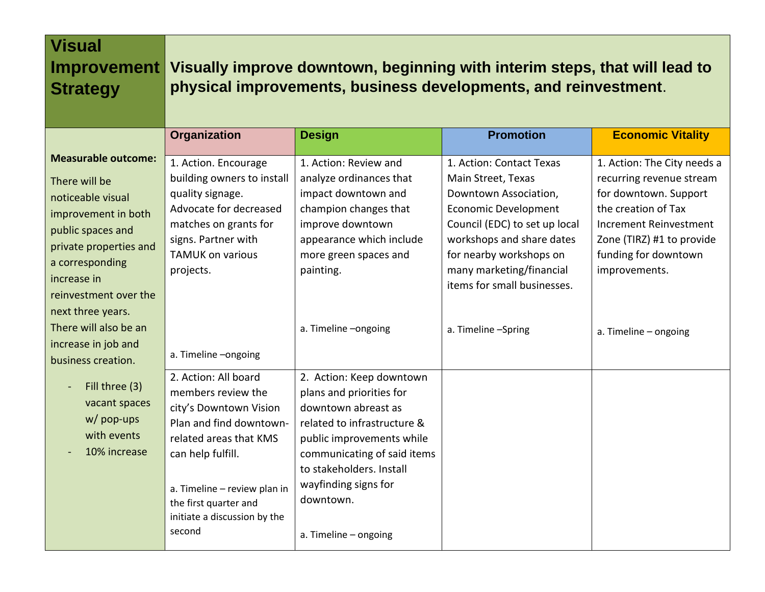| <b>Visual</b><br><b>Improvement</b><br><b>Strategy</b>                                                                                                                                                                 | Visually improve downtown, beginning with interim steps, that will lead to<br>physical improvements, business developments, and reinvestment.                                                                                                     |                                                                                                                                                                                                                                                                  |                                                                                                                                                                                                                                                            |                                                                                                                                                                                                         |
|------------------------------------------------------------------------------------------------------------------------------------------------------------------------------------------------------------------------|---------------------------------------------------------------------------------------------------------------------------------------------------------------------------------------------------------------------------------------------------|------------------------------------------------------------------------------------------------------------------------------------------------------------------------------------------------------------------------------------------------------------------|------------------------------------------------------------------------------------------------------------------------------------------------------------------------------------------------------------------------------------------------------------|---------------------------------------------------------------------------------------------------------------------------------------------------------------------------------------------------------|
|                                                                                                                                                                                                                        | <b>Organization</b>                                                                                                                                                                                                                               | <b>Design</b>                                                                                                                                                                                                                                                    | <b>Promotion</b>                                                                                                                                                                                                                                           | <b>Economic Vitality</b>                                                                                                                                                                                |
| <b>Measurable outcome:</b><br>There will be<br>noticeable visual<br>improvement in both<br>public spaces and<br>private properties and<br>a corresponding<br>increase in<br>reinvestment over the<br>next three years. | 1. Action. Encourage<br>building owners to install<br>quality signage.<br>Advocate for decreased<br>matches on grants for<br>signs. Partner with<br><b>TAMUK on various</b><br>projects.                                                          | 1. Action: Review and<br>analyze ordinances that<br>impact downtown and<br>champion changes that<br>improve downtown<br>appearance which include<br>more green spaces and<br>painting.                                                                           | 1. Action: Contact Texas<br>Main Street, Texas<br>Downtown Association,<br><b>Economic Development</b><br>Council (EDC) to set up local<br>workshops and share dates<br>for nearby workshops on<br>many marketing/financial<br>items for small businesses. | 1. Action: The City needs a<br>recurring revenue stream<br>for downtown. Support<br>the creation of Tax<br>Increment Reinvestment<br>Zone (TIRZ) #1 to provide<br>funding for downtown<br>improvements. |
| There will also be an<br>increase in job and<br>business creation.                                                                                                                                                     | a. Timeline -ongoing                                                                                                                                                                                                                              | a. Timeline -ongoing                                                                                                                                                                                                                                             | a. Timeline -Spring                                                                                                                                                                                                                                        | a. Timeline - ongoing                                                                                                                                                                                   |
| Fill three (3)<br>vacant spaces<br>w/ pop-ups<br>with events<br>10% increase                                                                                                                                           | 2. Action: All board<br>members review the<br>city's Downtown Vision<br>Plan and find downtown-<br>related areas that KMS<br>can help fulfill.<br>a. Timeline - review plan in<br>the first quarter and<br>initiate a discussion by the<br>second | 2. Action: Keep downtown<br>plans and priorities for<br>downtown abreast as<br>related to infrastructure &<br>public improvements while<br>communicating of said items<br>to stakeholders. Install<br>wayfinding signs for<br>downtown.<br>a. Timeline - ongoing |                                                                                                                                                                                                                                                            |                                                                                                                                                                                                         |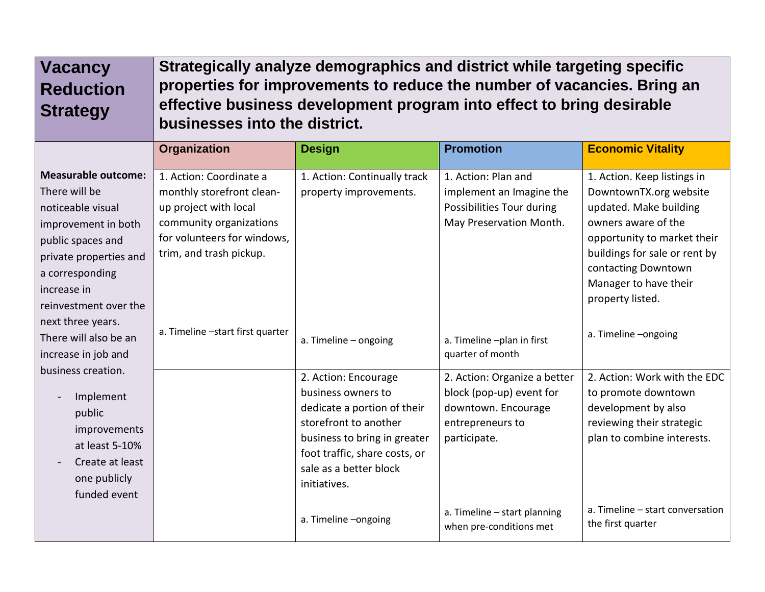| <b>Vacancy</b><br><b>Reduction</b><br><b>Strategy</b>                                                                                                                                             | Strategically analyze demographics and district while targeting specific<br>properties for improvements to reduce the number of vacancies. Bring an<br>effective business development program into effect to bring desirable<br>businesses into the district. |                                                                                                                                                                                                                                       |                                                                                                                                                                                |                                                                                                                                                                                                                                            |
|---------------------------------------------------------------------------------------------------------------------------------------------------------------------------------------------------|---------------------------------------------------------------------------------------------------------------------------------------------------------------------------------------------------------------------------------------------------------------|---------------------------------------------------------------------------------------------------------------------------------------------------------------------------------------------------------------------------------------|--------------------------------------------------------------------------------------------------------------------------------------------------------------------------------|--------------------------------------------------------------------------------------------------------------------------------------------------------------------------------------------------------------------------------------------|
|                                                                                                                                                                                                   | Organization                                                                                                                                                                                                                                                  | <b>Design</b>                                                                                                                                                                                                                         | <b>Promotion</b>                                                                                                                                                               | <b>Economic Vitality</b>                                                                                                                                                                                                                   |
| <b>Measurable outcome:</b><br>There will be<br>noticeable visual<br>improvement in both<br>public spaces and<br>private properties and<br>a corresponding<br>increase in<br>reinvestment over the | 1. Action: Coordinate a<br>monthly storefront clean-<br>up project with local<br>community organizations<br>for volunteers for windows,<br>trim, and trash pickup.                                                                                            | 1. Action: Continually track<br>property improvements.                                                                                                                                                                                | 1. Action: Plan and<br>implement an Imagine the<br>Possibilities Tour during<br>May Preservation Month.                                                                        | 1. Action. Keep listings in<br>DowntownTX.org website<br>updated. Make building<br>owners aware of the<br>opportunity to market their<br>buildings for sale or rent by<br>contacting Downtown<br>Manager to have their<br>property listed. |
| next three years.<br>There will also be an<br>increase in job and                                                                                                                                 | a. Timeline -start first quarter                                                                                                                                                                                                                              | a. Timeline - ongoing                                                                                                                                                                                                                 | a. Timeline -plan in first<br>quarter of month                                                                                                                                 | a. Timeline -ongoing                                                                                                                                                                                                                       |
| business creation.<br>Implement<br>public<br>improvements<br>at least 5-10%<br>Create at least<br>one publicly<br>funded event                                                                    |                                                                                                                                                                                                                                                               | 2. Action: Encourage<br>business owners to<br>dedicate a portion of their<br>storefront to another<br>business to bring in greater<br>foot traffic, share costs, or<br>sale as a better block<br>initiatives.<br>a. Timeline -ongoing | 2. Action: Organize a better<br>block (pop-up) event for<br>downtown. Encourage<br>entrepreneurs to<br>participate.<br>a. Timeline - start planning<br>when pre-conditions met | 2. Action: Work with the EDC<br>to promote downtown<br>development by also<br>reviewing their strategic<br>plan to combine interests.<br>a. Timeline - start conversation<br>the first quarter                                             |